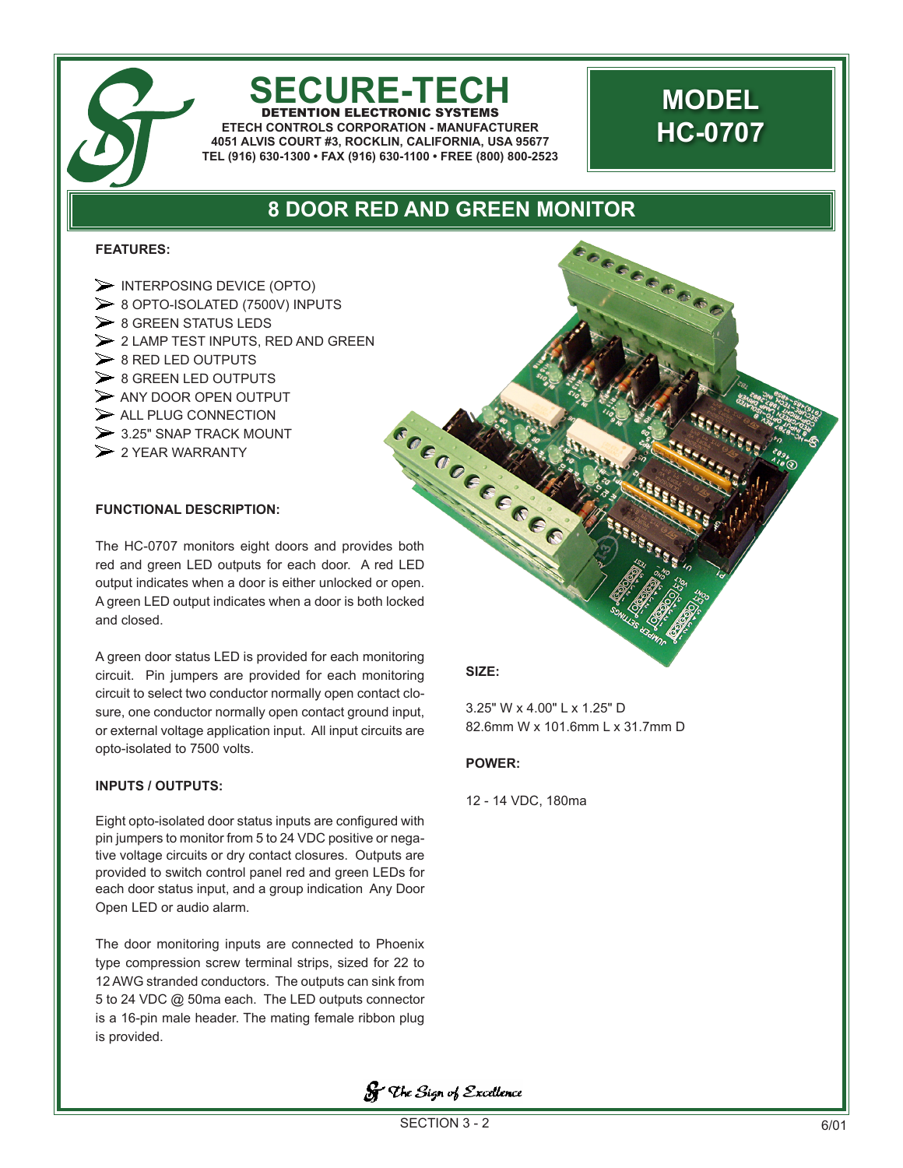# **SECURE-TECH**

DETENTION ELECTRONIC SYSTEMS **ETECH CONTROLS CORPORATION - MANUFACTURER 4051 ALVIS COURT #3, ROCKLIN, CALIFORNIA, USA 95677 TEL (916) 630-1300 • FAX (916) 630-1100 • FREE (800) 800-2523**

## **MODEL HC-0707**

06666606

### **8 DOOR RED AND GREEN MONITOR**

#### **FEATURES:**

- $\triangleright$  INTERPOSING DEVICE (OPTO) 8 OPTO-ISOLATED (7500V) INPUTS  $\geq 8$  GREEN STATUS LEDS  $\geq 2$  LAMP TEST INPUTS, RED AND GREEN  $\geq 8$  RED LED OUTPUTS  $\geq 8$  GREEN LED OUTPUTS  $\triangleright$  ANY DOOR OPEN OUTPUT  $\triangleright$  ALL PLUG CONNECTION  $>$  3.25" SNAP TRACK MOUNT SALL.<br>
SALL.<br>
SALL.<br>
The HC-0707 monitors eight doors and provides both
- $\geq$  2 YEAR WARRANTY

#### **FUNCTIONAL DESCRIPTION:**

red and green LED outputs for each door. A red LED output indicates when a door is either unlocked or open. A green LED output indicates when a door is both locked and closed.

A green door status LED is provided for each monitoring circuit. Pin jumpers are provided for each monitoring circuit to select two conductor normally open contact closure, one conductor normally open contact ground input, or external voltage application input. All input circuits are opto-isolated to 7500 volts.

#### **INPUTS / OUTPUTS:**

Eight opto-isolated door status inputs are configured with pin jumpers to monitor from 5 to 24 VDC positive or negative voltage circuits or dry contact closures. Outputs are provided to switch control panel red and green LEDs for each door status input, and a group indication Any Door Open LED or audio alarm.

The door monitoring inputs are connected to Phoenix type compression screw terminal strips, sized for 22 to 12 AWG stranded conductors. The outputs can sink from 5 to 24 VDC @ 50ma each. The LED outputs connector is a 16-pin male header. The mating female ribbon plug is provided.

#### **SIZE:**

3.25" W x 4.00" L x 1.25" D 82.6mm W x 101.6mm L x 31.7mm D

#### **POWER:**

12 - 14 VDC, 180ma

**S** The Sign of Excellence